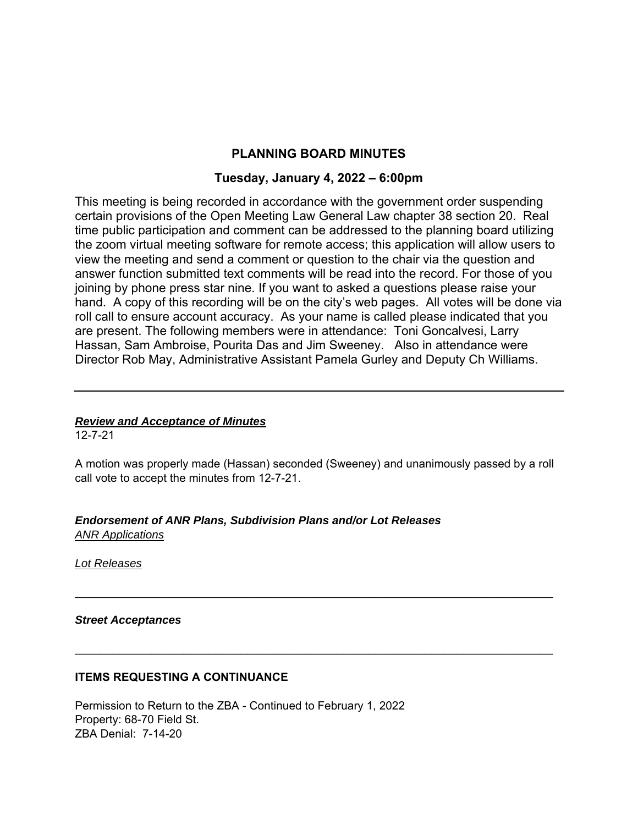# **PLANNING BOARD MINUTES**

## **Tuesday, January 4, 2022 – 6:00pm**

This meeting is being recorded in accordance with the government order suspending certain provisions of the Open Meeting Law General Law chapter 38 section 20. Real time public participation and comment can be addressed to the planning board utilizing the zoom virtual meeting software for remote access; this application will allow users to view the meeting and send a comment or question to the chair via the question and answer function submitted text comments will be read into the record. For those of you joining by phone press star nine. If you want to asked a questions please raise your hand. A copy of this recording will be on the city's web pages. All votes will be done via roll call to ensure account accuracy. As your name is called please indicated that you are present. The following members were in attendance: Toni Goncalvesi, Larry Hassan, Sam Ambroise, Pourita Das and Jim Sweeney. Also in attendance were Director Rob May, Administrative Assistant Pamela Gurley and Deputy Ch Williams.

# *Review and Acceptance of Minutes*

12-7-21

A motion was properly made (Hassan) seconded (Sweeney) and unanimously passed by a roll call vote to accept the minutes from 12-7-21.

 $\mathcal{L}_\text{max}$  and  $\mathcal{L}_\text{max}$  and  $\mathcal{L}_\text{max}$  and  $\mathcal{L}_\text{max}$  and  $\mathcal{L}_\text{max}$  and  $\mathcal{L}_\text{max}$ 

### *Endorsement of ANR Plans, Subdivision Plans and/or Lot Releases ANR Applications*

*Lot Releases* 

#### *Street Acceptances*

### **ITEMS REQUESTING A CONTINUANCE**

Permission to Return to the ZBA - Continued to February 1, 2022 Property: 68-70 Field St. ZBA Denial: 7-14-20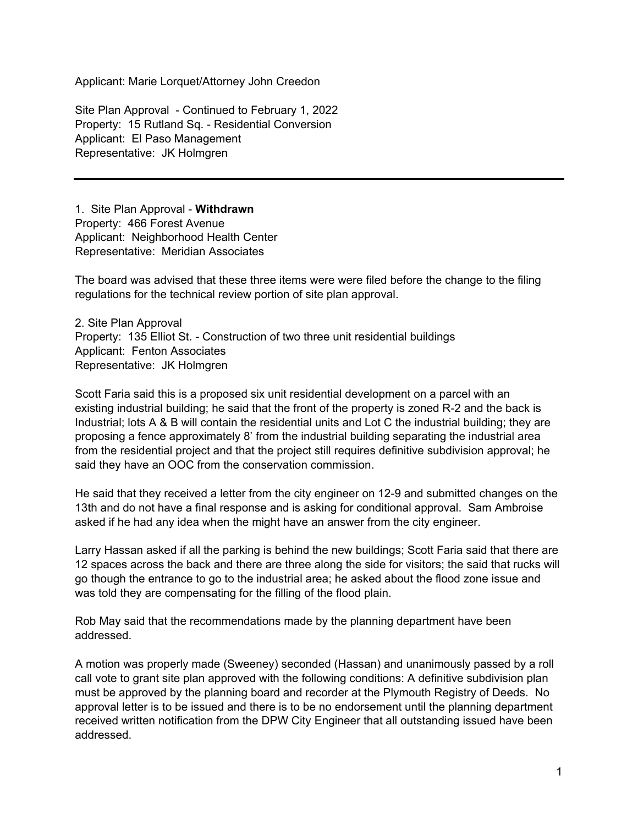Applicant: Marie Lorquet/Attorney John Creedon

Site Plan Approval - Continued to February 1, 2022 Property: 15 Rutland Sq. - Residential Conversion Applicant: El Paso Management Representative: JK Holmgren

1. Site Plan Approval - **Withdrawn**  Property: 466 Forest Avenue Applicant: Neighborhood Health Center Representative: Meridian Associates

The board was advised that these three items were were filed before the change to the filing regulations for the technical review portion of site plan approval.

2. Site Plan Approval Property: 135 Elliot St. - Construction of two three unit residential buildings Applicant: Fenton Associates Representative: JK Holmgren

Scott Faria said this is a proposed six unit residential development on a parcel with an existing industrial building; he said that the front of the property is zoned R-2 and the back is Industrial; lots A & B will contain the residential units and Lot C the industrial building; they are proposing a fence approximately 8' from the industrial building separating the industrial area from the residential project and that the project still requires definitive subdivision approval; he said they have an OOC from the conservation commission.

He said that they received a letter from the city engineer on 12-9 and submitted changes on the 13th and do not have a final response and is asking for conditional approval. Sam Ambroise asked if he had any idea when the might have an answer from the city engineer.

Larry Hassan asked if all the parking is behind the new buildings; Scott Faria said that there are 12 spaces across the back and there are three along the side for visitors; the said that rucks will go though the entrance to go to the industrial area; he asked about the flood zone issue and was told they are compensating for the filling of the flood plain.

Rob May said that the recommendations made by the planning department have been addressed.

A motion was properly made (Sweeney) seconded (Hassan) and unanimously passed by a roll call vote to grant site plan approved with the following conditions: A definitive subdivision plan must be approved by the planning board and recorder at the Plymouth Registry of Deeds. No approval letter is to be issued and there is to be no endorsement until the planning department received written notification from the DPW City Engineer that all outstanding issued have been addressed.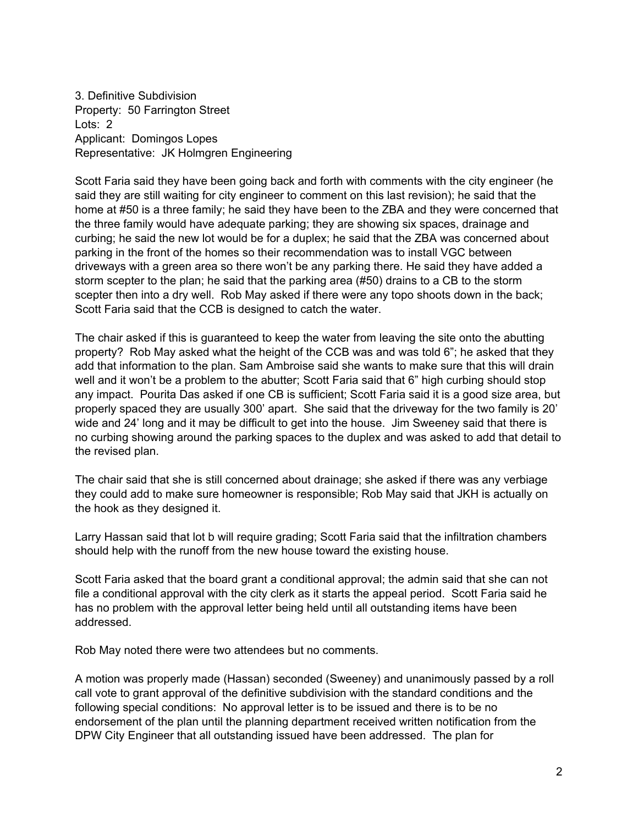3. Definitive Subdivision Property: 50 Farrington Street Lots: 2 Applicant: Domingos Lopes Representative: JK Holmgren Engineering

Scott Faria said they have been going back and forth with comments with the city engineer (he said they are still waiting for city engineer to comment on this last revision); he said that the home at #50 is a three family; he said they have been to the ZBA and they were concerned that the three family would have adequate parking; they are showing six spaces, drainage and curbing; he said the new lot would be for a duplex; he said that the ZBA was concerned about parking in the front of the homes so their recommendation was to install VGC between driveways with a green area so there won't be any parking there. He said they have added a storm scepter to the plan; he said that the parking area (#50) drains to a CB to the storm scepter then into a dry well. Rob May asked if there were any topo shoots down in the back; Scott Faria said that the CCB is designed to catch the water.

The chair asked if this is guaranteed to keep the water from leaving the site onto the abutting property? Rob May asked what the height of the CCB was and was told 6"; he asked that they add that information to the plan. Sam Ambroise said she wants to make sure that this will drain well and it won't be a problem to the abutter; Scott Faria said that 6" high curbing should stop any impact. Pourita Das asked if one CB is sufficient; Scott Faria said it is a good size area, but properly spaced they are usually 300' apart. She said that the driveway for the two family is 20' wide and 24' long and it may be difficult to get into the house. Jim Sweeney said that there is no curbing showing around the parking spaces to the duplex and was asked to add that detail to the revised plan.

The chair said that she is still concerned about drainage; she asked if there was any verbiage they could add to make sure homeowner is responsible; Rob May said that JKH is actually on the hook as they designed it.

Larry Hassan said that lot b will require grading; Scott Faria said that the infiltration chambers should help with the runoff from the new house toward the existing house.

Scott Faria asked that the board grant a conditional approval; the admin said that she can not file a conditional approval with the city clerk as it starts the appeal period. Scott Faria said he has no problem with the approval letter being held until all outstanding items have been addressed.

Rob May noted there were two attendees but no comments.

A motion was properly made (Hassan) seconded (Sweeney) and unanimously passed by a roll call vote to grant approval of the definitive subdivision with the standard conditions and the following special conditions: No approval letter is to be issued and there is to be no endorsement of the plan until the planning department received written notification from the DPW City Engineer that all outstanding issued have been addressed. The plan for